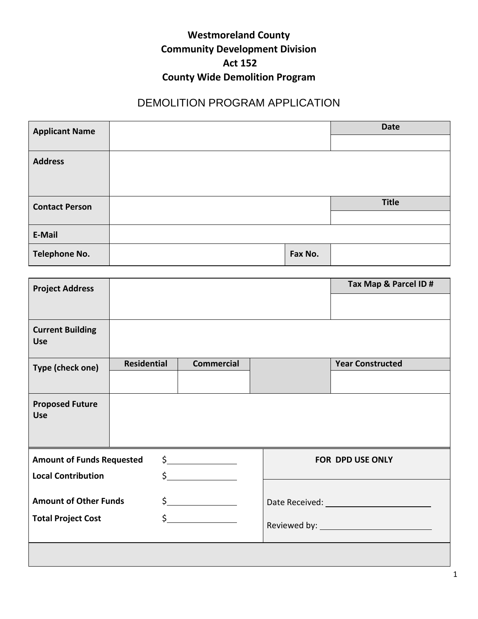### **Westmoreland County Community Development Division Act 152 County Wide Demolition Program**

## DEMOLITION PROGRAM APPLICATION

| <b>Applicant Name</b> |  |         | <b>Date</b>  |
|-----------------------|--|---------|--------------|
|                       |  |         |              |
| <b>Address</b>        |  |         |              |
|                       |  |         |              |
|                       |  |         |              |
| <b>Contact Person</b> |  |         | <b>Title</b> |
|                       |  |         |              |
| E-Mail                |  |         |              |
| <b>Telephone No.</b>  |  | Fax No. |              |

| <b>Project Address</b>                |                    |                                                                                                                                                                                                                                                                                                                                                                                                                                                                                                                                                                                                 | Tax Map & Parcel ID #   |
|---------------------------------------|--------------------|-------------------------------------------------------------------------------------------------------------------------------------------------------------------------------------------------------------------------------------------------------------------------------------------------------------------------------------------------------------------------------------------------------------------------------------------------------------------------------------------------------------------------------------------------------------------------------------------------|-------------------------|
|                                       |                    |                                                                                                                                                                                                                                                                                                                                                                                                                                                                                                                                                                                                 |                         |
| <b>Current Building</b><br><b>Use</b> |                    |                                                                                                                                                                                                                                                                                                                                                                                                                                                                                                                                                                                                 |                         |
| Type (check one)                      | <b>Residential</b> | <b>Commercial</b>                                                                                                                                                                                                                                                                                                                                                                                                                                                                                                                                                                               | <b>Year Constructed</b> |
|                                       |                    |                                                                                                                                                                                                                                                                                                                                                                                                                                                                                                                                                                                                 |                         |
| <b>Proposed Future</b><br><b>Use</b>  |                    |                                                                                                                                                                                                                                                                                                                                                                                                                                                                                                                                                                                                 |                         |
| <b>Amount of Funds Requested</b>      |                    | $\frac{1}{2}$                                                                                                                                                                                                                                                                                                                                                                                                                                                                                                                                                                                   | FOR DPD USE ONLY        |
| <b>Local Contribution</b>             |                    | $\frac{1}{2}$                                                                                                                                                                                                                                                                                                                                                                                                                                                                                                                                                                                   |                         |
| <b>Amount of Other Funds</b>          |                    | $\frac{1}{2}$                                                                                                                                                                                                                                                                                                                                                                                                                                                                                                                                                                                   |                         |
| <b>Total Project Cost</b>             |                    | $\begin{array}{c c} \xi & \xrightarrow{\hspace{1cm}} & \xrightarrow{\hspace{1cm}} & \xrightarrow{\hspace{1cm}} & \xrightarrow{\hspace{1cm}} & \xrightarrow{\hspace{1cm}} & \xrightarrow{\hspace{1cm}} & \xrightarrow{\hspace{1cm}} & \xrightarrow{\hspace{1cm}} & \xrightarrow{\hspace{1cm}} & \xrightarrow{\hspace{1cm}} & \xrightarrow{\hspace{1cm}} & \xrightarrow{\hspace{1cm}} & \xrightarrow{\hspace{1cm}} & \xrightarrow{\hspace{1cm}} & \xrightarrow{\hspace{1cm}} & \xrightarrow{\hspace{1cm}} & \xrightarrow{\hspace{1cm}} & \xrightarrow{\hspace{1cm}} & \xrightarrow{\hspace{1cm}}$ |                         |
|                                       |                    |                                                                                                                                                                                                                                                                                                                                                                                                                                                                                                                                                                                                 |                         |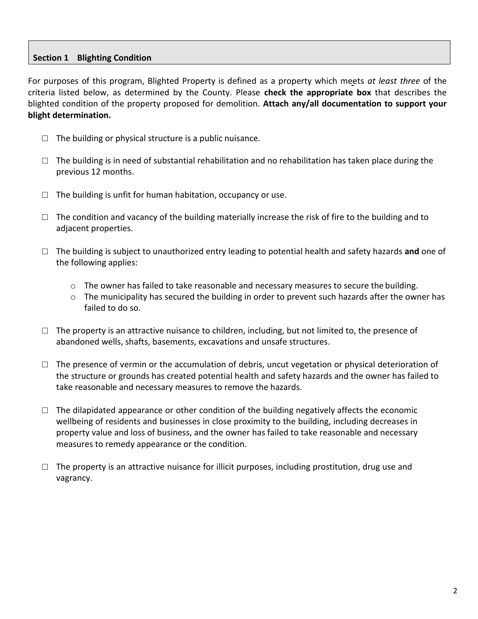#### **Section 1 Blighting Condition**

For purposes of this program, Blighted Property is defined as a property which meets *at least three* of the criteria listed below, as determined by the County. Please **check the appropriate box** that describes the blighted condition of the property proposed for demolition. **Attach any/all documentation to support your blight determination.**

- $\Box$  The building or physical structure is a public nuisance.
- $\Box$  The building is in need of substantial rehabilitation and no rehabilitation has taken place during the previous 12 months.
- $\Box$  The building is unfit for human habitation, occupancy or use.
- $\Box$  The condition and vacancy of the building materially increase the risk of fire to the building and to adjacent properties.
- □ The building is subject to unauthorized entry leading to potential health and safety hazards **and** one of the following applies:
	- $\circ$  The owner has failed to take reasonable and necessary measures to secure the building.
	- $\circ$  The municipality has secured the building in order to prevent such hazards after the owner has failed to do so.
- $\Box$  The property is an attractive nuisance to children, including, but not limited to, the presence of abandoned wells, shafts, basements, excavations and unsafe structures.
- $\Box$  The presence of vermin or the accumulation of debris, uncut vegetation or physical deterioration of the structure or grounds has created potential health and safety hazards and the owner has failed to take reasonable and necessary measures to remove the hazards.
- $\Box$  The dilapidated appearance or other condition of the building negatively affects the economic wellbeing of residents and businesses in close proximity to the building, including decreases in property value and loss of business, and the owner has failed to take reasonable and necessary measures to remedy appearance or the condition.
- $\Box$  The property is an attractive nuisance for illicit purposes, including prostitution, drug use and vagrancy.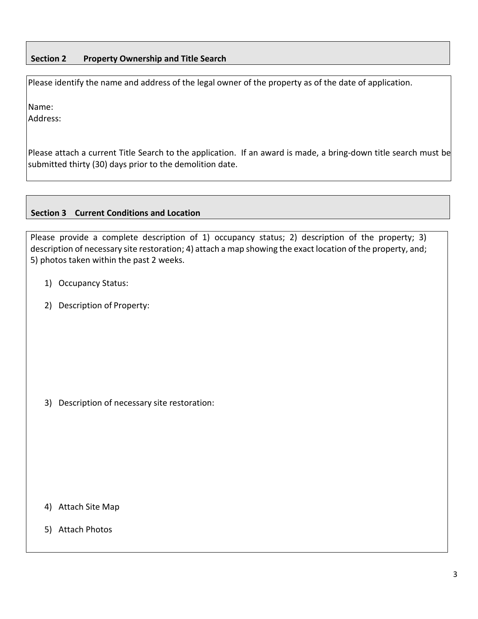#### **Section 2 Property Ownership and Title Search**

Please identify the name and address of the legal owner of the property as of the date of application.

Name:

Address:

Please attach a current Title Search to the application. If an award is made, a bring-down title search must be submitted thirty (30) days prior to the demolition date.

#### **Section 3 Current Conditions and Location**

Please provide a complete description of 1) occupancy status; 2) description of the property; 3) description of necessary site restoration; 4) attach a map showing the exact location of the property, and; 5) photos taken within the past 2 weeks.

- 1) Occupancy Status:
- 2) Description of Property:

3) Description of necessary site restoration:

- 4) Attach Site Map
- 5) Attach Photos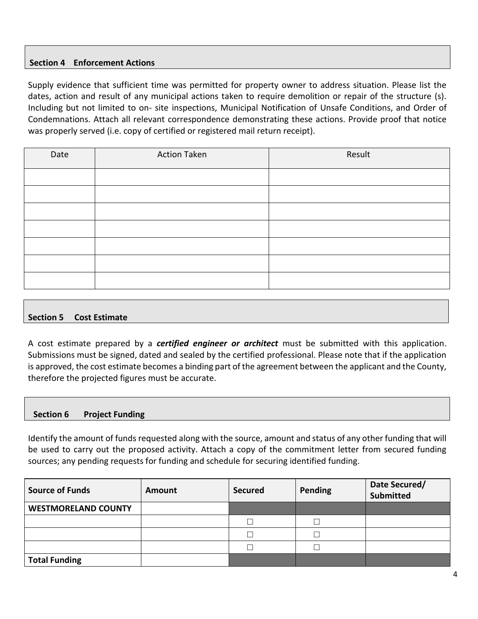#### **Section 4 Enforcement Actions**

Supply evidence that sufficient time was permitted for property owner to address situation. Please list the dates, action and result of any municipal actions taken to require demolition or repair of the structure (s). Including but not limited to on‐ site inspections, Municipal Notification of Unsafe Conditions, and Order of Condemnations. Attach all relevant correspondence demonstrating these actions. Provide proof that notice was properly served (i.e. copy of certified or registered mail return receipt).

| Date | <b>Action Taken</b> | Result |
|------|---------------------|--------|
|      |                     |        |
|      |                     |        |
|      |                     |        |
|      |                     |        |
|      |                     |        |
|      |                     |        |
|      |                     |        |

#### **Section 5 Cost Estimate**

A cost estimate prepared by a *certified engineer or architect* must be submitted with this application. Submissions must be signed, dated and sealed by the certified professional. Please note that if the application is approved, the cost estimate becomes a binding part of the agreement between the applicant and the County, therefore the projected figures must be accurate.

#### **Section 6 Project Funding**

Identify the amount of funds requested along with the source, amount and status of any other funding that will be used to carry out the proposed activity. Attach a copy of the commitment letter from secured funding sources; any pending requests for funding and schedule for securing identified funding.

| <b>Source of Funds</b>     | <b>Amount</b> | <b>Secured</b> | <b>Pending</b> | Date Secured/<br><b>Submitted</b> |
|----------------------------|---------------|----------------|----------------|-----------------------------------|
| <b>WESTMORELAND COUNTY</b> |               |                |                |                                   |
|                            |               |                |                |                                   |
|                            |               |                |                |                                   |
|                            |               |                |                |                                   |
| <b>Total Funding</b>       |               |                |                |                                   |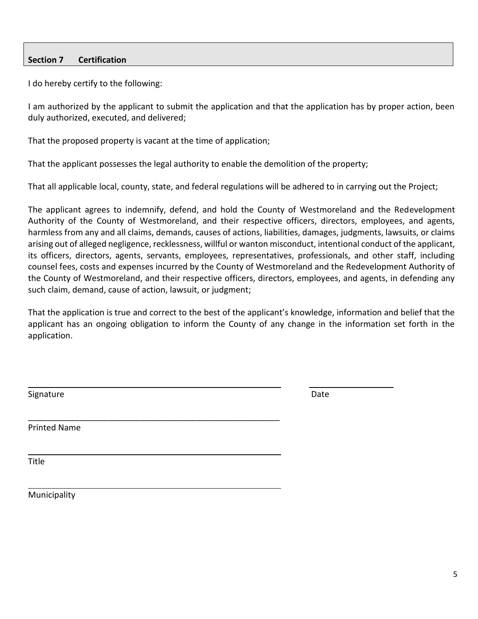#### **Section 7 Certification**

I do hereby certify to the following:

I am authorized by the applicant to submit the application and that the application has by proper action, been duly authorized, executed, and delivered;

That the proposed property is vacant at the time of application;

\_\_\_\_\_\_\_\_\_\_\_\_\_\_\_\_\_\_\_\_\_\_\_\_\_\_\_\_\_\_\_\_\_\_\_\_\_\_\_\_\_\_\_\_\_\_\_\_\_\_\_\_\_\_

That the applicant possesses the legal authority to enable the demolition of the property;

That all applicable local, county, state, and federal regulations will be adhered to in carrying out the Project;

The applicant agrees to indemnify, defend, and hold the County of Westmoreland and the Redevelopment Authority of the County of Westmoreland, and their respective officers, directors, employees, and agents, harmless from any and all claims, demands, causes of actions, liabilities, damages, judgments, lawsuits, or claims arising out of alleged negligence, recklessness, willful or wanton misconduct, intentional conduct of the applicant, its officers, directors, agents, servants, employees, representatives, professionals, and other staff, including counsel fees, costs and expenses incurred by the County of Westmoreland and the Redevelopment Authority of the County of Westmoreland, and their respective officers, directors, employees, and agents, in defending any such claim, demand, cause of action, lawsuit, or judgment;

That the application is true and correct to the best of the applicant's knowledge, information and belief that the applicant has an ongoing obligation to inform the County of any change in the information set forth in the application.

Signature Date Date of the Date of the Date of the Date of the Date of the Date of the Date of the Date of the Date of the Date of the Date of the Date of the Date of the Date of the Date of the Date of the Date of the Dat

Printed Name

**Title** 

Municipality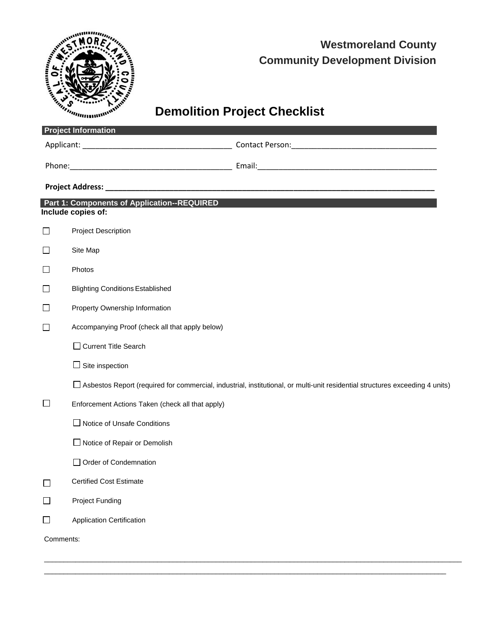

## **Westmoreland County Community Development Division**

# **Demolition Project Checklist**

|              | Part 1: Components of Application--REQUIRED<br>Include copies of: |                                                                                                                                |  |  |
|--------------|-------------------------------------------------------------------|--------------------------------------------------------------------------------------------------------------------------------|--|--|
| П            | <b>Project Description</b>                                        |                                                                                                                                |  |  |
| $\Box$       | Site Map                                                          |                                                                                                                                |  |  |
| l 1          | Photos                                                            |                                                                                                                                |  |  |
| П            | <b>Blighting Conditions Established</b>                           |                                                                                                                                |  |  |
| П            | Property Ownership Information                                    |                                                                                                                                |  |  |
| $\Box$       | Accompanying Proof (check all that apply below)                   |                                                                                                                                |  |  |
|              | □ Current Title Search                                            |                                                                                                                                |  |  |
|              | $\Box$ Site inspection                                            |                                                                                                                                |  |  |
|              |                                                                   | □ Asbestos Report (required for commercial, industrial, institutional, or multi-unit residential structures exceeding 4 units) |  |  |
| $\Box$       | Enforcement Actions Taken (check all that apply)                  |                                                                                                                                |  |  |
|              | $\Box$ Notice of Unsafe Conditions                                |                                                                                                                                |  |  |
|              | $\Box$ Notice of Repair or Demolish                               |                                                                                                                                |  |  |
|              | Order of Condemnation                                             |                                                                                                                                |  |  |
| $\Box$       | <b>Certified Cost Estimate</b>                                    |                                                                                                                                |  |  |
| $\mathsf{L}$ | <b>Project Funding</b>                                            |                                                                                                                                |  |  |
|              |                                                                   |                                                                                                                                |  |  |

\_\_\_\_\_\_\_\_\_\_\_\_\_\_\_\_\_\_\_\_\_\_\_\_\_\_\_\_\_\_\_\_\_\_\_\_\_\_\_\_\_\_\_\_\_\_\_\_\_\_\_\_\_\_\_\_\_\_\_\_\_\_\_\_\_\_\_\_\_\_\_\_\_\_\_\_\_\_\_\_\_\_\_\_\_\_\_\_\_\_\_\_\_\_\_\_\_\_\_\_\_\_\_\_\_\_\_ \_\_\_\_\_\_\_\_\_\_\_\_\_\_\_\_\_\_\_\_\_\_\_\_\_\_\_\_\_\_\_\_\_\_\_\_\_\_\_\_\_\_\_\_\_\_\_\_\_\_\_\_\_\_\_\_\_\_\_\_\_\_\_\_\_\_\_\_\_\_\_\_\_\_\_\_\_\_\_\_\_\_\_\_\_\_\_\_\_\_\_\_\_\_\_\_\_\_\_\_\_\_\_